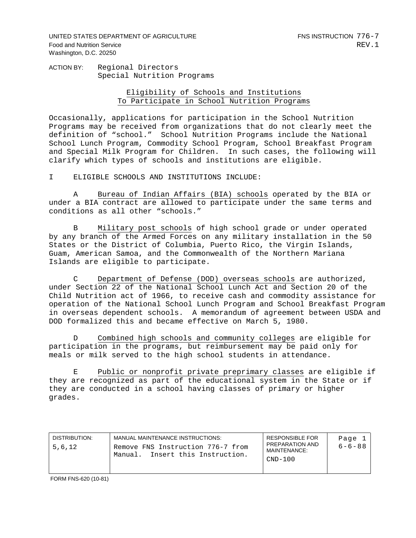UNITED STATES DEPARTMENT OF AGRICULTURE FINS INSTRUCTION 776-7 Food and Nutrition Service **REV.1** Washington, D.C. 20250

ACTION BY:Regional Directors Special Nutrition Programs

> Eligibility of Schools and Institutions To Participate in School Nutrition Programs

Occasionally, applications for participation in the School Nutrition Programs may be received from organizations that do not clearly meet the definition of "school." School Nutrition Programs include the National School Lunch Program, Commodity School Program, School Breakfast Program and Special Milk Program for Children. In such cases, the following will clarify which types of schools and institutions are eligible.

I ELIGIBLE SCHOOLS AND INSTITUTIONS INCLUDE:

 A Bureau of Indian Affairs (BIA) schools operated by the BIA or under a BIA contract are allowed to participate under the same terms and conditions as all other "schools."

Military post schools of high school grade or under operated by any branch of the Armed Forces on any military installation in the 50 States or the District of Columbia, Puerto Rico, the Virgin Islands, Guam, American Samoa, and the Commonwealth of the Northern Mariana Islands are eligible to participate.

 C Department of Defense (DOD) overseas schools are authorized, under Section 22 of the National School Lunch Act and Section 20 of the Child Nutrition act of 1966, to receive cash and commodity assistance for operation of the National School Lunch Program and School Breakfast Program in overseas dependent schools. A memorandum of agreement between USDA and DOD formalized this and became effective on March 5, 1980.

 D Combined high schools and community colleges are eligible for participation in the programs, but reimbursement may be paid only for meals or milk served to the high school students in attendance.

 E Public or nonprofit private preprimary classes are eligible if they are recognized as part of the educational system in the State or if they are conducted in a school having classes of primary or higher grades.

| DISTRIBUTION:<br>5,6,12 | MANUAL MAINTENANCE INSTRUCTIONS:<br>Remove FNS Instruction 776-7 from<br>Insert this Instruction.<br>Manual. | <b>RESPONSIBLE FOR</b><br>PREPARATION AND<br>MAINTENANCE:<br>$CND-100$ | Page<br>$6 - 6 - 88$ |
|-------------------------|--------------------------------------------------------------------------------------------------------------|------------------------------------------------------------------------|----------------------|
|-------------------------|--------------------------------------------------------------------------------------------------------------|------------------------------------------------------------------------|----------------------|

FORM FNS-620 (10-81)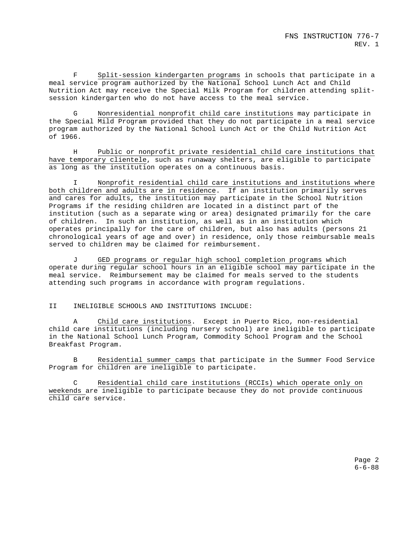F Split-session kindergarten programs in schools that participate in a meal service program authorized by the National School Lunch Act and Child Nutrition Act may receive the Special Milk Program for children attending splitsession kindergarten who do not have access to the meal service.

 G Nonresidential nonprofit child care institutions may participate in the Special Mild Program provided that they do not participate in a meal service program authorized by the National School Lunch Act or the Child Nutrition Act of 1966.

 H Public or nonprofit private residential child care institutions that have temporary clientele, such as runaway shelters, are eligible to participate as long as the institution operates on a continuous basis.

 I Nonprofit residential child care institutions and institutions where both children and adults are in residence. If an institution primarily serves and cares for adults, the institution may participate in the School Nutrition Programs if the residing children are located in a distinct part of the institution (such as a separate wing or area) designated primarily for the care of children. In such an institution, as well as in an institution which operates principally for the care of children, but also has adults (persons 21 chronological years of age and over) in residence, only those reimbursable meals served to children may be claimed for reimbursement.

 J GED programs or regular high school completion programs which operate during regular school hours in an eligible school may participate in the meal service. Reimbursement may be claimed for meals served to the students attending such programs in accordance with program regulations.

II INELIGIBLE SCHOOLS AND INSTITUTIONS INCLUDE:

 A Child care institutions. Except in Puerto Rico, non-residential child care institutions (including nursery school) are ineligible to participate in the National School Lunch Program, Commodity School Program and the School Breakfast Program.

 B Residential summer camps that participate in the Summer Food Service Program for children are ineligible to participate.

 C Residential child care institutions (RCCIs) which operate only on weekends are ineligible to participate because they do not provide continuous child care service.

> Page 2 6-6-88